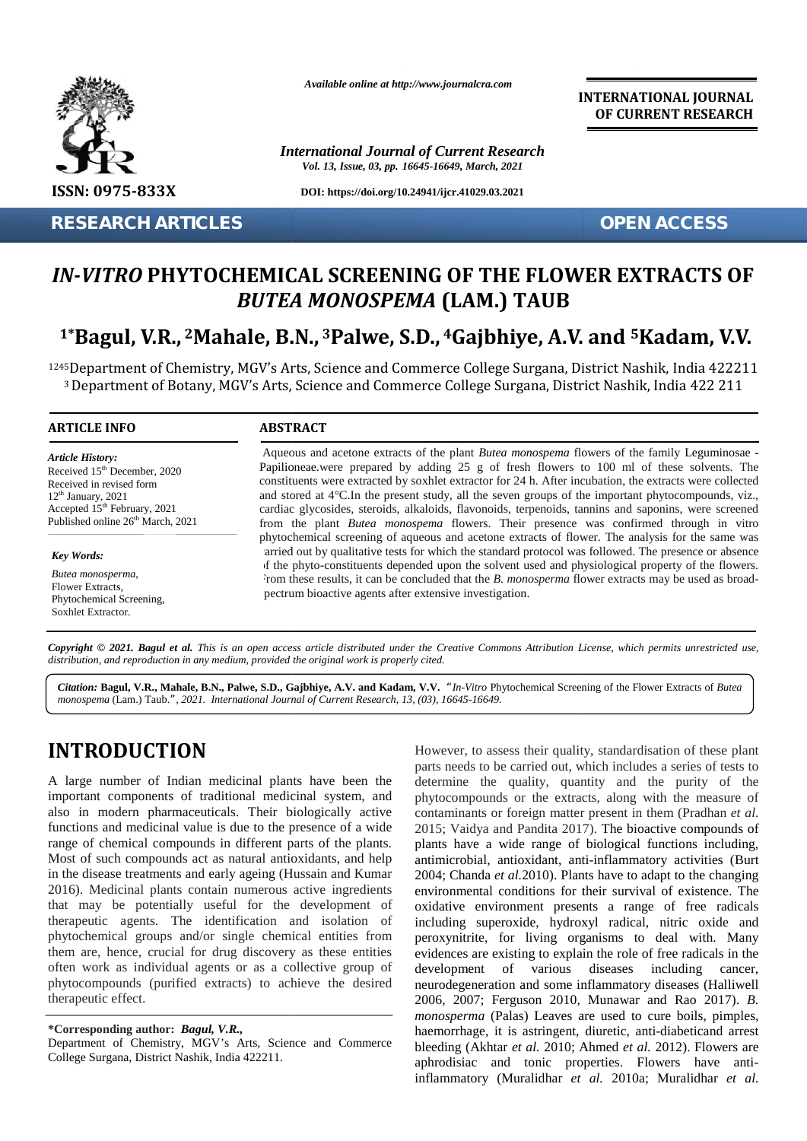

**RESEARCH ARTICLES OPEN ACCESS**

*Available online at http://www.journalcra.com*

*International Journal of Current Research Vol. 13, Issue, 03, pp. 16645-16649, March, 2021*

**DOI: https://doi.org/10.24941/ijcr.41029.03.2021**

**INTERNATIONAL JOURNAL OF CURRENT RESEARCH**

# *IN-VITRO* PHYTOCHEMICAL SCREENING OF THE FLOWER EXTRACTS OF<br>*BUTEA MONOSPEMA* (LAM.) TAUB *BUTEA MONOSPEMA* **(LAM.) TAUB**

# <sup>1\*</sup>Bagul, V.R., <sup>2</sup>Mahale, B.N., <sup>3</sup>Palwe, S.D., <sup>4</sup>Gajbhiye, A.V. and <sup>5</sup>Kadam, V.V.

<sup>1245</sup>Department of Chemistry, MGV's Arts, Science and Commerce College Surgana, District Nashik, India 422211 <sup>5</sup>Department of Chemistry, MGV´s Arts, Science and Commerce College Surgana, District Nashik, India 422211<br><sup>3</sup> Department of Botany, MGV's Arts, Science and Commerce College Surgana, District Nashik, India 422 211

#### **ARTICLE INFO ABSTRACT ARTICLE ABSTRACT**

*Article History: Article History:* Received  $15<sup>th</sup>$  December, 2020 Received in revised form Received in revised form  $12<sup>th</sup> January, 2021$ Received 15 December, 2020<br>
Received in revised form<br>  $12^{\text{th}}$  January, 2021 al<br>
Accepted 15<sup>th</sup> February, 2021 ca Published online  $26<sup>th</sup>$  March, 2021 **FORTACH /<br>
IN-VITRO P**<br> **1\*Bagul, V.**<br>
1245 Department comparement comparement comparement comparement comparement contributions.<br>
Received in Figure Extractor.<br>
Received in Figure 26<sup>th</sup> Management Comparement Comparemen

*Key Words: Butea monosperma*,

Flower Extracts, Phytochemical Screening, Soxhlet Extractor.

Aqueous and acetone extracts of the plant *Butea monospema* flowers of the family Leguminosae - Papilioneae.were prepared by adding 25 g of fresh flowers to 100 ml of these solvents. The constituents were extracted by soxhlet extractor for 24 h. After incubation, the extracts were collected and stored at 4°C.In the present study, all the seven groups of the important phytocompounds, viz., cardiac glycosides, steroids, alkaloids, flavonoids, terpenoids, tannins and saponins, were screened from the plant *Butea monospema* flowers. Their presence was confirmed through in vitro phytochemical screening of aqueous and acetone extracts of flower. The analysis for the same was carried out by qualitative tests for which the standard protocol was followed. The presence or absence of the phyto-constituents depended upon the solvent used and physiological property of the flowers. From these results, it can be concluded that the *B. monosperma* flower extracts may be used as broad pectrum bioactive agents after extensive investigation. Aqueous and acetone extracts of the plant *Butea monospema* flowers of the family Legumino<br>Papilioneae.were prepared by adding 25 g of fresh flowers to 100 ml of these solvents.<br>constituents were extracted by soxhlet extr *" Current*

**Copyright © 2021. Bagul et al.** This is an open access article distributed under the Creative Commons Attribution License, which permits unrestricted use,<br>distribution, and reproduction in any medium, provided the origina *distribution, and reproduction in any medium, provided the original work is properly cited.*

Citation: Bagul, V.R., Mahale, B.N., Palwe, S.D., Gajbhiye, A.V. and Kadam, V.V. "In-Vitro Phytochemical Screening of the Flower Extracts of Butea *monospema* (Lam.) Taub.*", 2021. International Journal of Current Research, 13, (03), 16645-16649.*

# **INTRODUCTION INTRODUCTION**

A large number of Indian medicinal plants have been the dete important components of traditional medicinal system, and important components of traditional medicinal system, and phy<br>also in modern pharmaceuticals. Their biologically active con functions and medicinal value is due to the presence of a wide range of chemical compounds in different parts of the plants. Most of such compounds act as natural antioxidants, and help in the disease treatments and early ageing (Hussain and Kumar 2016). Medicinal plants contain numerous active ingredients that may be potentially useful for the development of therapeutic agents. The identification and isolation of phytochemical groups and/or single chemical entities from them are, hence, crucial for drug discovery as these entities often work as individual agents or as a collective group of phytocompounds (purified extracts) to achieve the desired therapeutic effect. functions and medicinal value is due to the presence of a wide<br>range of chemical compounds in different parts of the plants.<br>Most of such compounds act as natural antioxidants, and help<br>in the disease treatments and early 2016). Medicinal plants contain numerous active that may be potentially useful for the devel therapeutic agents. The identification and is phytochemical groups and/or single chemical er them are, hence, crucial for drug di

However, to assess their quality, standardisation of these plant parts needs to be carried out, which includes a series of tests to determine the quality, quantity and the purity of the phytocompounds or the extracts, along with the measure of contaminants or foreign matter present in them (Pradhan *et al.* 2015; Vaidya and Pandita 2017). The bioactive compounds of plants have a wide range of biological functions including, antimicrobial, antioxidant, anti-inflammatory activities (Burt 2004; Chanda *et al.*2010). Plants have to adapt to the changing environmental conditions for their survival of existence. The oxidative environment presents a range of free radicals including superoxide, hydroxyl radical, nitric oxide and peroxynitrite, for living organisms to deal with. Many evidences are existing to explain the role of free radicals in the development of various diseases including cancer, neurodegeneration and some inflammatory diseases (Halliwell 2006, 2007; Ferguson 2010, Munawar and Rao 2017). *B. monosperma* (Palas) Leaves are used to cure boils, pimples, haemorrhage, it is astringent, diuretic, anti-diabeticand arrest bleeding (Akhtar *et al.* 2010; Ahmed *et al.* 2012). Flowers are aphrodisiac and tonic properties. Flowers have antiinflammatory (Muralidhar *et al.* 2010a; Muralidhar *et al.* **ESSA COTT-2013**<br>
ESSA COTT-2013<br>
ESSA COTT-2013<br>
RESEARCH ARTICLES<br>
INTERIOR PRITRACTISE<br>
TRESPARCHES CONTRACTISE<br>
INTERIOR PRITRACTISE<br>
INTERIOR PRITRACTISE<br>
INTERIOR PRITRACTISE<br>
INTERIOR PRITRACTISE<br>
INTERIOR PRITRACT Gajbhiye, A.V. and Kadam, V.V. "*In-Viro* Phytochemical Screening of the Flower Extracts of *Butead of Current Research*, 13, (03), 16645-16649.<br>
However, to assess their quality, standardisation of these p<br>
parts needs t

**<sup>\*</sup>Corresponding author:** *Bagul, V.R.,* **\*Corresponding** *V.R.,*

Department of Chemistry, MGV's Arts, Science and Commerce ble College Surgana, District Nashik, India 422211.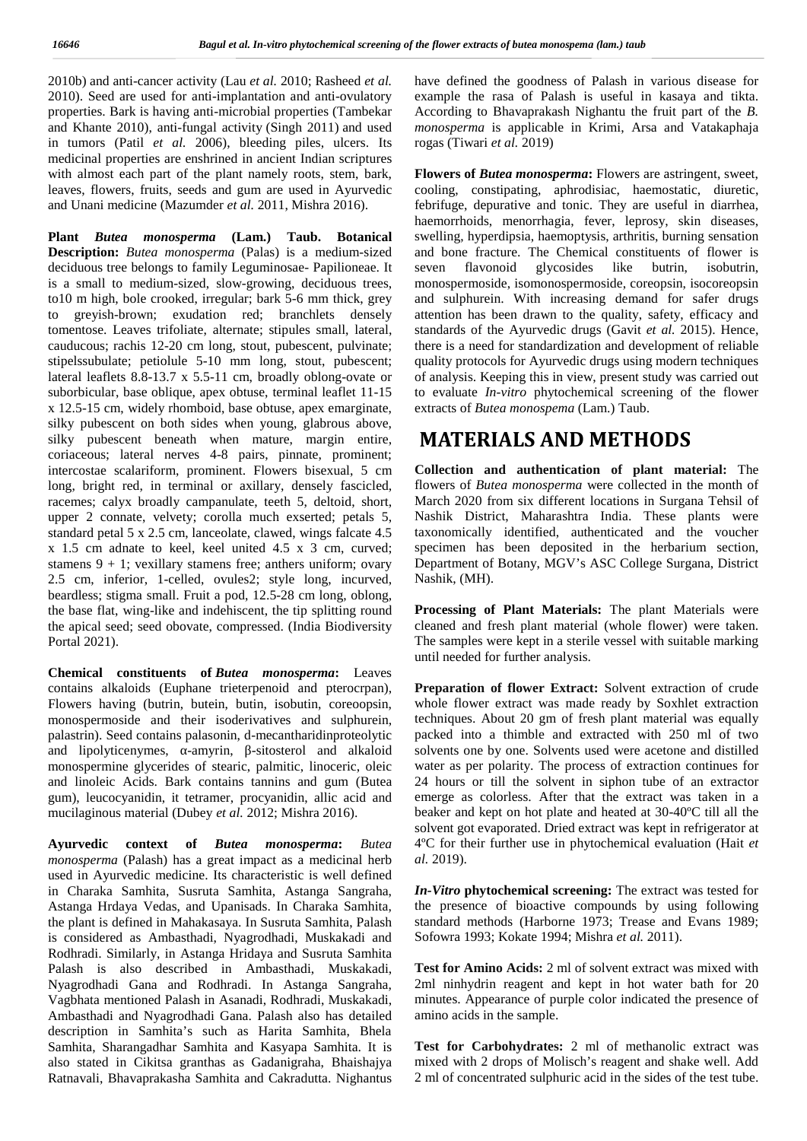2010b) and anti-cancer activity (Lau *et al.* 2010; Rasheed *et al.* 2010). Seed are used for anti-implantation and anti-ovulatory properties. Bark is having anti-microbial properties (Tambekar and Khante 2010), anti-fungal activity (Singh 2011) and used in tumors (Patil *et al.* 2006), bleeding piles, ulcers. Its medicinal properties are enshrined in ancient Indian scriptures with almost each part of the plant namely roots, stem, bark, leaves, flowers, fruits, seeds and gum are used in Ayurvedic and Unani medicine (Mazumder *et al.* 2011, Mishra 2016).

**Plant** *Butea monosperma* **(Lam.) Taub. Botanical Description:** *Butea monosperma* (Palas) is a medium-sized deciduous tree belongs to family Leguminosae- Papilioneae. It is a small to medium-sized, slow-growing, deciduous trees, to10 m high, bole crooked, irregular; bark 5-6 mm thick, grey to greyish-brown; exudation red; branchlets densely tomentose. Leaves trifoliate, alternate; stipules small, lateral, cauducous; rachis 12-20 cm long, stout, pubescent, pulvinate; stipelssubulate; petiolule 5-10 mm long, stout, pubescent; lateral leaflets 8.8-13.7 x 5.5-11 cm, broadly oblong-ovate or suborbicular, base oblique, apex obtuse, terminal leaflet 11-15 x 12.5-15 cm, widely rhomboid, base obtuse, apex emarginate, silky pubescent on both sides when young, glabrous above, silky pubescent beneath when mature, margin entire, coriaceous; lateral nerves 4-8 pairs, pinnate, prominent; intercostae scalariform, prominent. Flowers bisexual, 5 cm long, bright red, in terminal or axillary, densely fascicled, racemes; calyx broadly campanulate, teeth 5, deltoid, short, upper 2 connate, velvety; corolla much exserted; petals 5, standard petal 5 x 2.5 cm, lanceolate, clawed, wings falcate 4.5 x 1.5 cm adnate to keel, keel united 4.5 x 3 cm, curved; stamens  $9 + 1$ ; vexillary stamens free; anthers uniform; ovary 2.5 cm, inferior, 1-celled, ovules2; style long, incurved, beardless; stigma small. Fruit a pod, 12.5-28 cm long, oblong, the base flat, wing-like and indehiscent, the tip splitting round the apical seed; seed obovate, compressed. (India Biodiversity Portal 2021).

**Chemical constituents of** *Butea monosperma***:** Leaves contains alkaloids (Euphane trieterpenoid and pterocrpan), Flowers having (butrin, butein, butin, isobutin, coreoopsin, monospermoside and their isoderivatives and sulphurein, palastrin). Seed contains palasonin, d-mecantharidinproteolytic and lipolyticenymes, -amyrin, -sitosterol and alkaloid monospermine glycerides of stearic, palmitic, linoceric, oleic and linoleic Acids. Bark contains tannins and gum (Butea gum), leucocyanidin, it tetramer, procyanidin, allic acid and mucilaginous material (Dubey *et al.* 2012; Mishra 2016).

**Ayurvedic context of** *Butea monosperma***:** *Butea monosperma* (Palash) has a great impact as a medicinal herb used in Ayurvedic medicine. Its characteristic is well defined in Charaka Samhita, Susruta Samhita, Astanga Sangraha, Astanga Hrdaya Vedas, and Upanisads. In Charaka Samhita, the plant is defined in Mahakasaya. In Susruta Samhita, Palash is considered as Ambasthadi, Nyagrodhadi, Muskakadi and Rodhradi. Similarly, in Astanga Hridaya and Susruta Samhita Palash is also described in Ambasthadi, Muskakadi, Nyagrodhadi Gana and Rodhradi. In Astanga Sangraha, Vagbhata mentioned Palash in Asanadi, Rodhradi, Muskakadi, Ambasthadi and Nyagrodhadi Gana. Palash also has detailed description in Samhita's such as Harita Samhita, Bhela Samhita, Sharangadhar Samhita and Kasyapa Samhita. It is also stated in Cikitsa granthas as Gadanigraha, Bhaishajya Ratnavali, Bhavaprakasha Samhita and Cakradutta. Nighantus

have defined the goodness of Palash in various disease for example the rasa of Palash is useful in kasaya and tikta. According to Bhavaprakash Nighantu the fruit part of the *B. monosperma* is applicable in Krimi, Arsa and Vatakaphaja rogas (Tiwari *et al.* 2019)

**Flowers of** *Butea monosperma***:** Flowers are astringent, sweet, cooling, constipating, aphrodisiac, haemostatic, diuretic, febrifuge, depurative and tonic. They are useful in diarrhea, haemorrhoids, menorrhagia, fever, leprosy, skin diseases, swelling, hyperdipsia, haemoptysis, arthritis, burning sensation and bone fracture. The Chemical constituents of flower is flavonoid glycosides like butrin, isobutrin, monospermoside, isomonospermoside, coreopsin, isocoreopsin and sulphurein. With increasing demand for safer drugs attention has been drawn to the quality, safety, efficacy and standards of the Ayurvedic drugs (Gavit *et al.* 2015). Hence, there is a need for standardization and development of reliable quality protocols for Ayurvedic drugs using modern techniques of analysis. Keeping this in view, present study was carried out to evaluate *In-vitro* phytochemical screening of the flower extracts of *Butea monospema* (Lam.) Taub.

# **MATERIALS AND METHODS**

**Collection and authentication of plant material:** The flowers of *Butea monosperma* were collected in the month of March 2020 from six different locations in Surgana Tehsil of Nashik District, Maharashtra India. These plants were taxonomically identified, authenticated and the voucher specimen has been deposited in the herbarium section, Department of Botany, MGV's ASC College Surgana, District Nashik, (MH).

**Processing of Plant Materials:** The plant Materials were cleaned and fresh plant material (whole flower) were taken. The samples were kept in a sterile vessel with suitable marking until needed for further analysis.

**Preparation of flower Extract:** Solvent extraction of crude whole flower extract was made ready by Soxhlet extraction techniques. About 20 gm of fresh plant material was equally packed into a thimble and extracted with 250 ml of two solvents one by one. Solvents used were acetone and distilled water as per polarity. The process of extraction continues for 24 hours or till the solvent in siphon tube of an extractor emerge as colorless. After that the extract was taken in a beaker and kept on hot plate and heated at 30-40ºC till all the solvent got evaporated. Dried extract was kept in refrigerator at 4ºC for their further use in phytochemical evaluation (Hait *et al.* 2019).

*In-Vitro* **phytochemical screening:** The extract was tested for the presence of bioactive compounds by using following standard methods (Harborne 1973; Trease and Evans 1989; Sofowra 1993; Kokate 1994; Mishra *et al.* 2011).

**Test for Amino Acids:** 2 ml of solvent extract was mixed with 2ml ninhydrin reagent and kept in hot water bath for 20 minutes. Appearance of purple color indicated the presence of amino acids in the sample.

**Test for Carbohydrates:** 2 ml of methanolic extract was mixed with 2 drops of Molisch's reagent and shake well. Add 2 ml of concentrated sulphuric acid in the sides of the test tube.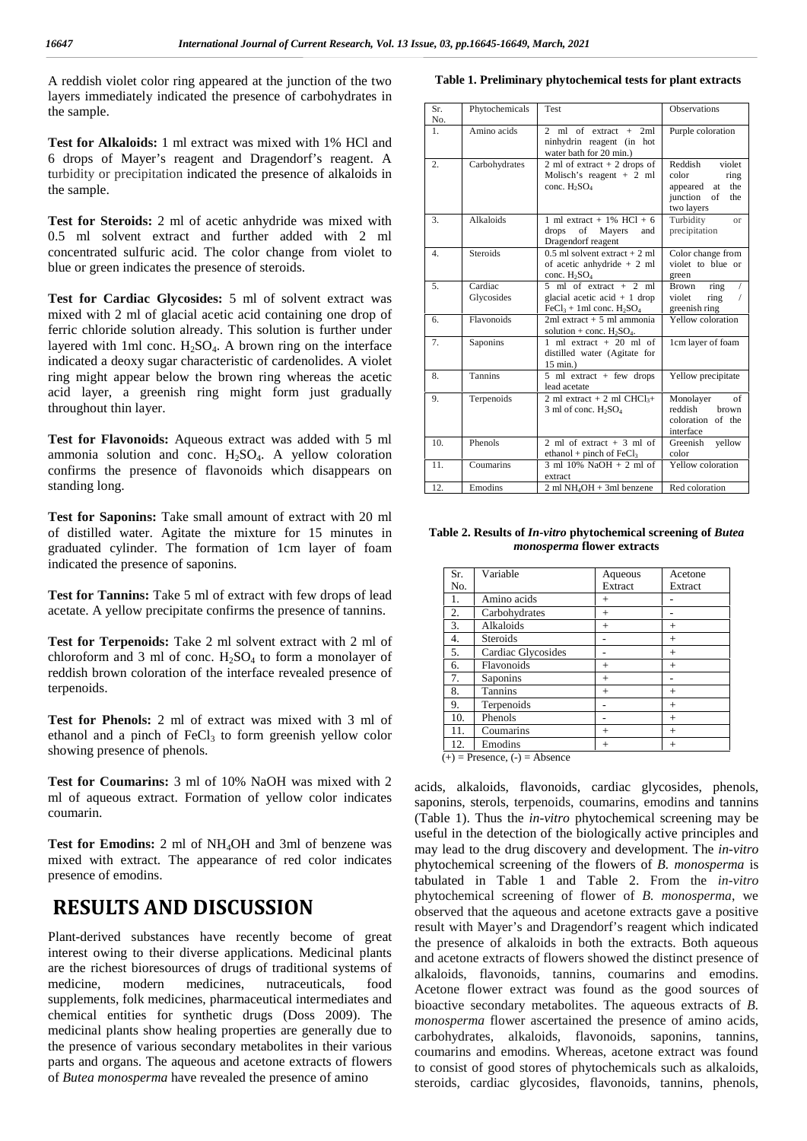A reddish violet color ring appeared at the junction of the two layers immediately indicated the presence of carbohydrates in the sample.

**Test for Alkaloids:** 1 ml extract was mixed with 1% HCl and 6 drops of Mayer's reagent and Dragendorf's reagent. A turbidity or precipitation indicated the presence of alkaloids in the sample.

**Test for Steroids:** 2 ml of acetic anhydride was mixed with 0.5 ml solvent extract and further added with 2 ml concentrated sulfuric acid. The color change from violet to blue or green indicates the presence of steroids.

**Test for Cardiac Glycosides:** 5 ml of solvent extract was mixed with 2 ml of glacial acetic acid containing one drop of ferric chloride solution already. This solution is further under layered with 1ml conc.  $H_2SO_4$ . A brown ring on the interface indicated a deoxy sugar characteristic of cardenolides. A violet ring might appear below the brown ring whereas the acetic acid layer, a greenish ring might form just gradually throughout thin layer.

**Test for Flavonoids:** Aqueous extract was added with 5 ml ammonia solution and conc.  $H<sub>2</sub>SO<sub>4</sub>$ . A yellow coloration confirms the presence of flavonoids which disappears on standing long.

**Test for Saponins:** Take small amount of extract with 20 ml of distilled water. Agitate the mixture for 15 minutes in graduated cylinder. The formation of 1cm layer of foam indicated the presence of saponins.

**Test for Tannins:** Take 5 ml of extract with few drops of lead acetate. A yellow precipitate confirms the presence of tannins.

**Test for Terpenoids:** Take 2 ml solvent extract with 2 ml of chloroform and 3 ml of conc.  $H_2SO_4$  to form a monolayer of reddish brown coloration of the interface revealed presence of terpenoids.

**Test for Phenols:** 2 ml of extract was mixed with 3 ml of ethanol and a pinch of  $FeCl<sub>3</sub>$  to form greenish yellow color showing presence of phenols.

**Test for Coumarins:** 3 ml of 10% NaOH was mixed with 2 ml of aqueous extract. Formation of yellow color indicates coumarin.

**Test for Emodins:** 2 ml of NH4OH and 3ml of benzene was mixed with extract. The appearance of red color indicates presence of emodins.

### **RESULTS AND DISCUSSION**

Plant-derived substances have recently become of great interest owing to their diverse applications. Medicinal plants are the richest bioresources of drugs of traditional systems of medicine, modern medicines, nutraceuticals, food supplements, folk medicines, pharmaceutical intermediates and chemical entities for synthetic drugs (Doss 2009). The medicinal plants show healing properties are generally due to the presence of various secondary metabolites in their various parts and organs. The aqueous and acetone extracts of flowers of *Butea monosperma* have revealed the presence of amino

|  |  |  | Table 1. Preliminary phytochemical tests for plant extracts |  |
|--|--|--|-------------------------------------------------------------|--|
|--|--|--|-------------------------------------------------------------|--|

| Sr.<br>No. | Phytochemicals        | Test                                                                                    | Observations                                                                                    |
|------------|-----------------------|-----------------------------------------------------------------------------------------|-------------------------------------------------------------------------------------------------|
| 1.         | Amino acids           | 2 ml of extract $+$<br>2ml<br>ninhydrin reagent (in hot<br>water bath for 20 min.)      | Purple coloration                                                                               |
| 2.         | Carbohydrates         | 2 ml of extract $+$ 2 drops of<br>Molisch's reagent $+2$ ml<br>conc. $H_2SO_4$          | Reddish<br>violet<br>color<br>ring<br>appeared<br>at<br>the<br>junction of<br>the<br>two layers |
| 3.         | Alkaloids             | 1 ml extract + $1\%$ HCl + 6<br>drops<br>of Mayers<br>and<br>Dragendorf reagent         | Turbidity<br>$\alpha$<br>precipitation                                                          |
| 4.         | <b>Steroids</b>       | $0.5$ ml solvent extract + 2 ml<br>of acetic anhydride $+2$ ml<br>conc. $H_2SO_4$       | Color change from<br>violet to blue or<br>green                                                 |
| 5.         | Cardiac<br>Glycosides | 5 ml of extract $+2$ ml<br>glacial acetic acid $+1$ drop<br>$FeCl3 + 1ml$ conc. $H2SO4$ | Brown<br>ring<br>7<br>violet<br>ring<br>7<br>greenish ring                                      |
| 6.         | Flavonoids            | $2ml$ extract $+5$ ml ammonia<br>solution + conc. $H_2SO_4$ .                           | Yellow coloration                                                                               |
| 7.         | Saponins              | 1 ml extract $+20$ ml of<br>distilled water (Agitate for<br>15 min.)                    | 1cm layer of foam                                                                               |
| 8.         | Tannins               | $5$ ml extract + few drops<br>lead acetate                                              | Yellow precipitate                                                                              |
| 9.         | Terpenoids            | 2 ml extract + 2 ml $CHCl3$ +<br>$3 \text{ ml of conc. } H_2SO_4$                       | Monolayer<br>of<br>reddish<br>brown<br>coloration of the<br>interface                           |
| 10.        | Phenols               | 2 ml of extract $+3$ ml of<br>ethanol + pinch of $FeCl3$                                | Greenish<br>yellow<br>color                                                                     |
| 11.        | Coumarins             | $3 \text{ ml} 10\% \text{ NaOH} + 2 \text{ ml} of$<br>extract                           | Yellow coloration                                                                               |
| 12.        | Emodins               | $2 \text{ ml } NH_4OH + 3 \text{ ml}$ benzene                                           | Red coloration                                                                                  |

**Table 2. Results of** *In-vitro* **phytochemical screening of** *Butea monosperma* **flower extracts**

| Sr.<br>No.                        | Variable           | Aqueous<br>Extract | Acetone<br>Extract |  |  |
|-----------------------------------|--------------------|--------------------|--------------------|--|--|
| 1.                                | Amino acids        | $^{+}$             |                    |  |  |
| 2.                                | Carbohydrates      | $^{+}$             |                    |  |  |
| 3.                                | Alkaloids          | $+$                | $\,+\,$            |  |  |
| 4.                                | Steroids           |                    | $^{+}$             |  |  |
| 5.                                | Cardiac Glycosides |                    | $^{+}$             |  |  |
| 6.                                | Flavonoids         | $^+$               | $^{+}$             |  |  |
| 7.                                | Saponins           | $+$                |                    |  |  |
| 8.                                | <b>Tannins</b>     | $+$                | $^{+}$             |  |  |
| 9.                                | Terpenoids         |                    | $^{+}$             |  |  |
| 10.                               | Phenols            |                    | $^{+}$             |  |  |
| 11.                               | Coumarins          | $^{+}$             | $^+$               |  |  |
| 12.                               | Emodins            | $^{+}$             | $^+$               |  |  |
| $(+)$ = Presence, $(-)$ = Absence |                    |                    |                    |  |  |

acids, alkaloids, flavonoids, cardiac glycosides, phenols, saponins, sterols, terpenoids, coumarins, emodins and tannins (Table 1). Thus the *in-vitro* phytochemical screening may be useful in the detection of the biologically active principles and may lead to the drug discovery and development. The *in-vitro* phytochemical screening of the flowers of *B. monosperma* is tabulated in Table 1 and Table 2. From the *in-vitro* phytochemical screening of flower of *B. monosperma*, we observed that the aqueous and acetone extracts gave a positive result with Mayer's and Dragendorf's reagent which indicated the presence of alkaloids in both the extracts. Both aqueous and acetone extracts of flowers showed the distinct presence of alkaloids, flavonoids, tannins, coumarins and emodins. Acetone flower extract was found as the good sources of bioactive secondary metabolites. The aqueous extracts of *B. monosperma* flower ascertained the presence of amino acids, carbohydrates, alkaloids, flavonoids, saponins, tannins, coumarins and emodins. Whereas, acetone extract was found to consist of good stores of phytochemicals such as alkaloids, steroids, cardiac glycosides, flavonoids, tannins, phenols,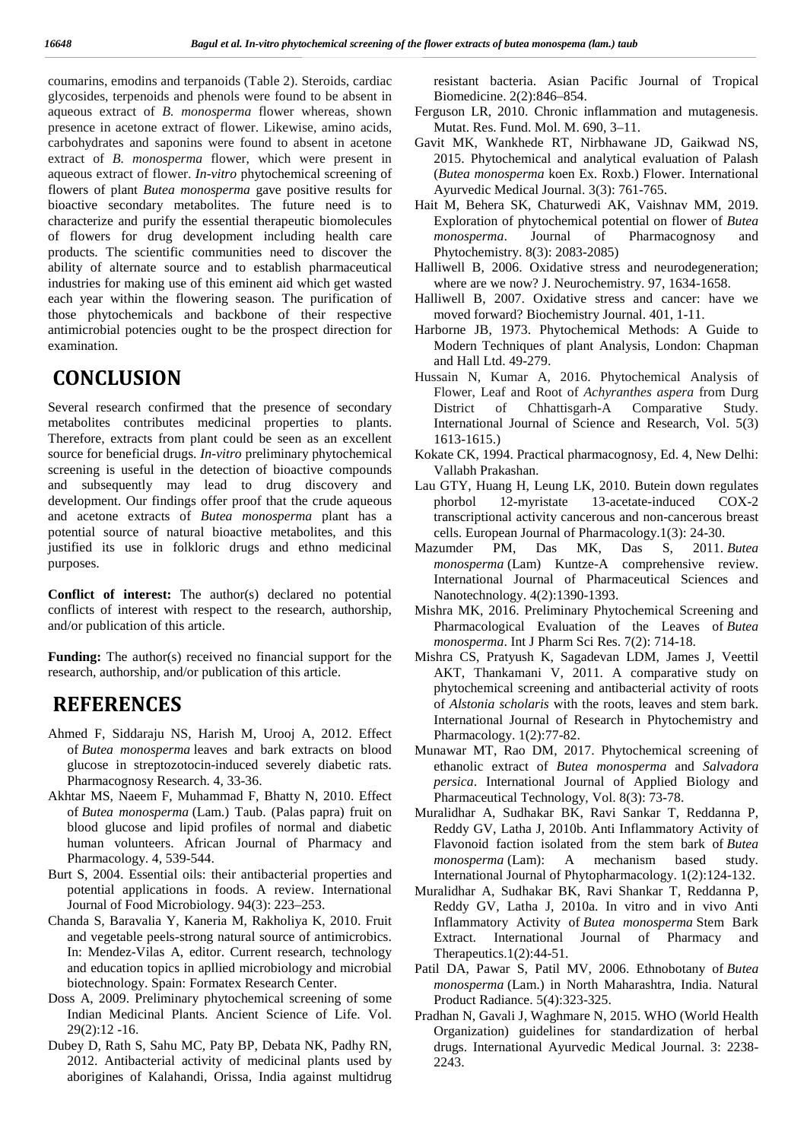coumarins, emodins and terpanoids (Table 2). Steroids, cardiac glycosides, terpenoids and phenols were found to be absent in aqueous extract of *B. monosperma* flower whereas, shown presence in acetone extract of flower. Likewise, amino acids, carbohydrates and saponins were found to absent in acetone extract of *B. monosperma* flower, which were present in aqueous extract of flower. *In-vitro* phytochemical screening of flowers of plant *Butea monosperma* gave positive results for bioactive secondary metabolites. The future need is to characterize and purify the essential therapeutic biomolecules of flowers for drug development including health care products. The scientific communities need to discover the ability of alternate source and to establish pharmaceutical industries for making use of this eminent aid which get wasted each year within the flowering season. The purification of those phytochemicals and backbone of their respective antimicrobial potencies ought to be the prospect direction for examination.

# **CONCLUSION**

Several research confirmed that the presence of secondary metabolites contributes medicinal properties to plants. Therefore, extracts from plant could be seen as an excellent source for beneficial drugs. *In-vitro* preliminary phytochemical screening is useful in the detection of bioactive compounds and subsequently may lead to drug discovery and development. Our findings offer proof that the crude aqueous and acetone extracts of *Butea monosperma* plant has a potential source of natural bioactive metabolites, and this justified its use in folkloric drugs and ethno medicinal Mazumder purposes.

**Conflict of interest:** The author(s) declared no potential conflicts of interest with respect to the research, authorship, and/or publication of this article.

**Funding:** The author(s) received no financial support for the research, authorship, and/or publication of this article.

# **REFERENCES**

- Ahmed F, Siddaraju NS, Harish M, Urooj A, 2012. Effect of *Butea monosperma* leaves and bark extracts on blood glucose in streptozotocin-induced severely diabetic rats. Pharmacognosy Research. 4, 33-36.
- Akhtar MS, Naeem F, Muhammad F, Bhatty N, 2010. Effect of *Butea monosperma* (Lam.) Taub. (Palas papra) fruit on blood glucose and lipid profiles of normal and diabetic human volunteers. African Journal of Pharmacy and Pharmacology. 4, 539-544.
- Burt S, 2004. Essential oils: their antibacterial properties and potential applications in foods. A review. International Journal of Food Microbiology. 94(3): 223–253.
- Chanda S, Baravalia Y, Kaneria M, Rakholiya K, 2010. Fruit and vegetable peels-strong natural source of antimicrobics. In: Mendez-Vilas A, editor. Current research, technology and education topics in apllied microbiology and microbial biotechnology. Spain: Formatex Research Center.
- Doss A, 2009. Preliminary phytochemical screening of some Indian Medicinal Plants. Ancient Science of Life. Vol. 29(2):12 -16.
- Dubey D, Rath S, Sahu MC, Paty BP, Debata NK, Padhy RN, 2012. Antibacterial activity of medicinal plants used by aborigines of Kalahandi, Orissa, India against multidrug

resistant bacteria. Asian Pacific Journal of Tropical Biomedicine. 2(2):846–854.

- Ferguson LR, 2010. Chronic inflammation and mutagenesis. Mutat. Res. Fund. Mol. M. 690, 3–11.
- Gavit MK, Wankhede RT, Nirbhawane JD, Gaikwad NS, 2015. Phytochemical and analytical evaluation of Palash (*Butea monosperma* koen Ex. Roxb.) Flower. International Ayurvedic Medical Journal. 3(3): 761-765.
- Hait M, Behera SK, Chaturwedi AK, Vaishnav MM, 2019. Exploration of phytochemical potential on flower of *Butea* Journal of Pharmacognosy and Phytochemistry. 8(3): 2083-2085)
- Halliwell B, 2006. Oxidative stress and neurodegeneration; where are we now? J. Neurochemistry. 97, 1634-1658.
- Halliwell B, 2007. Oxidative stress and cancer: have we moved forward? Biochemistry Journal. 401, 1-11.
- Harborne JB, 1973. Phytochemical Methods: A Guide to Modern Techniques of plant Analysis, London: Chapman and Hall Ltd. 49-279.
- Hussain N, Kumar A, 2016. Phytochemical Analysis of Flower, Leaf and Root of *Achyranthes aspera* from Durg District of Chhattisgarh-A Comparative Study. International Journal of Science and Research, Vol. 5(3) 1613-1615.)
- Kokate CK, 1994. Practical pharmacognosy, Ed. 4, New Delhi: Vallabh Prakashan.
- Lau GTY, Huang H, Leung LK, 2010. Butein down regulates phorbol 12-myristate 13-acetate-induced COX-2 transcriptional activity cancerous and non-cancerous breast cells. European Journal of Pharmacology.1(3): 24-30.
- PM, Das MK, Das S, 2011. *Butea monosperma* (Lam) Kuntze-A comprehensive review. International Journal of Pharmaceutical Sciences and Nanotechnology. 4(2):1390-1393.
- Mishra MK, 2016. Preliminary Phytochemical Screening and Pharmacological Evaluation of the Leaves of *Butea monosperma*. Int J Pharm Sci Res. 7(2): 714-18.
- Mishra CS, Pratyush K, Sagadevan LDM, James J, Veettil AKT, Thankamani V, 2011. A comparative study on phytochemical screening and antibacterial activity of roots of *Alstonia scholaris* with the roots, leaves and stem bark. International Journal of Research in Phytochemistry and Pharmacology. 1(2):77-82.
- Munawar MT, Rao DM, 2017. Phytochemical screening of ethanolic extract of *Butea monosperma* and *Salvadora persica*. International Journal of Applied Biology and Pharmaceutical Technology, Vol. 8(3): 73-78.
- Muralidhar A, Sudhakar BK, Ravi Sankar T, Reddanna P, Reddy GV, Latha J, 2010b. Anti Inflammatory Activity of Flavonoid faction isolated from the stem bark of *Butea monosperma* (Lam): A mechanism based study. International Journal of Phytopharmacology. 1(2):124-132.
- Muralidhar A, Sudhakar BK, Ravi Shankar T, Reddanna P, Reddy GV, Latha J, 2010a. In vitro and in vivo Anti Inflammatory Activity of *Butea monosperma* Stem Bark Extract. International Journal of Pharmacy and Therapeutics.1(2):44-51.
- Patil DA, Pawar S, Patil MV, 2006. Ethnobotany of *Butea monosperma* (Lam.) in North Maharashtra, India. Natural Product Radiance. 5(4):323-325.
- Pradhan N, Gavali J, Waghmare N, 2015. WHO (World Health Organization) guidelines for standardization of herbal drugs. International Ayurvedic Medical Journal. 3: 2238- 2243.